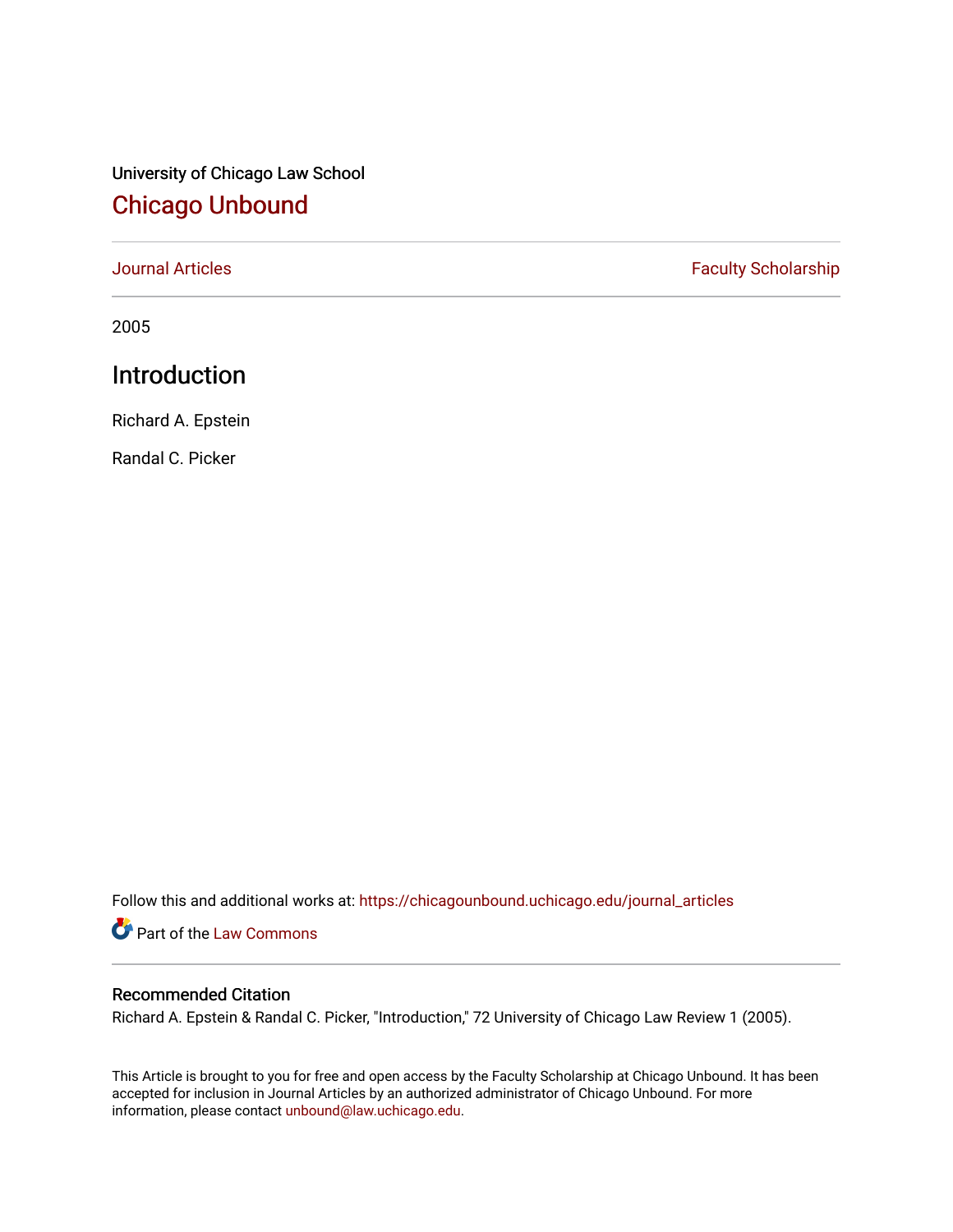# University of Chicago Law School [Chicago Unbound](https://chicagounbound.uchicago.edu/)

[Journal Articles](https://chicagounbound.uchicago.edu/journal_articles) **Faculty Scholarship Faculty Scholarship** 

2005

## Introduction

Richard A. Epstein

Randal C. Picker

Follow this and additional works at: [https://chicagounbound.uchicago.edu/journal\\_articles](https://chicagounbound.uchicago.edu/journal_articles?utm_source=chicagounbound.uchicago.edu%2Fjournal_articles%2F3051&utm_medium=PDF&utm_campaign=PDFCoverPages) 

Part of the [Law Commons](http://network.bepress.com/hgg/discipline/578?utm_source=chicagounbound.uchicago.edu%2Fjournal_articles%2F3051&utm_medium=PDF&utm_campaign=PDFCoverPages)

#### Recommended Citation

Richard A. Epstein & Randal C. Picker, "Introduction," 72 University of Chicago Law Review 1 (2005).

This Article is brought to you for free and open access by the Faculty Scholarship at Chicago Unbound. It has been accepted for inclusion in Journal Articles by an authorized administrator of Chicago Unbound. For more information, please contact [unbound@law.uchicago.edu](mailto:unbound@law.uchicago.edu).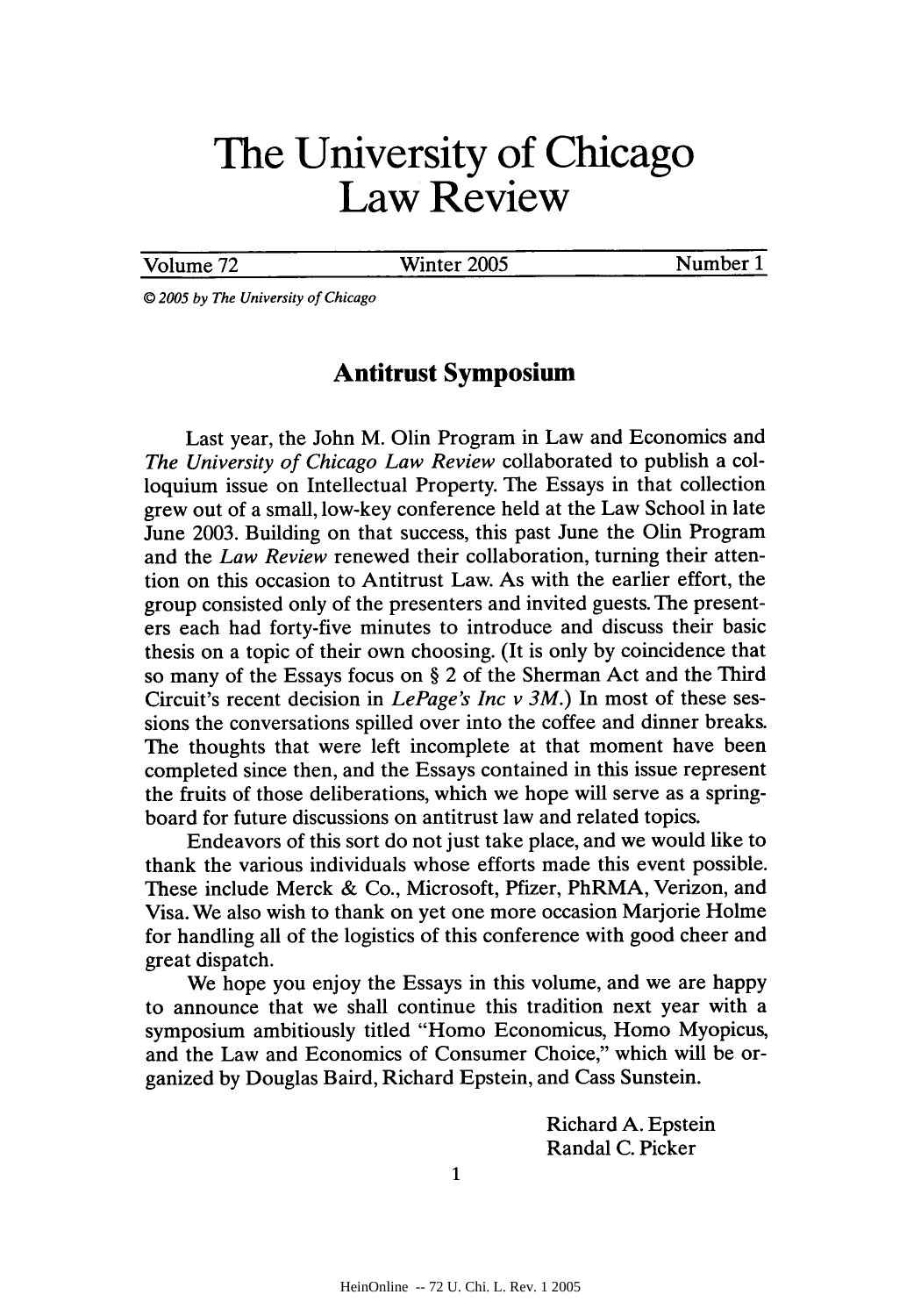# **The University of Chicago Law Review**

Volume 72 Winter 2005 Number 1

*© 2005 by The University of Chicago*

### **Antitrust Symposium**

Last year, the John M. Olin Program in Law and Economics and *The University of Chicago Law Review* collaborated to publish a colloquium issue on Intellectual Property. The Essays in that collection grew out of a small, low-key conference held at the Law School in late June 2003. Building on that success, this past June the Olin Program and the *Law Review* renewed their collaboration, turning their attention on this occasion to Antitrust Law. As with the earlier effort, the group consisted only of the presenters and invited guests. The presenters each had forty-five minutes to introduce and discuss their basic thesis on a topic of their own choosing. (It is only by coincidence that so many of the Essays focus on **§** 2 of the Sherman Act and the Third Circuit's recent decision in *LePage's Inc v 3M.)* In most of these sessions the conversations spilled over into the coffee and dinner breaks. The thoughts that were left incomplete at that moment have been completed since then, and the Essays contained in this issue represent the fruits of those deliberations, which we hope will serve as a springboard for future discussions on antitrust law and related topics.

Endeavors of this sort do not just take place, and we would like to thank the various individuals whose efforts made this event possible. These include Merck & Co., Microsoft, Pfizer, PhRMA, Verizon, and Visa. We also wish to thank on yet one more occasion Marjorie Holme for handling all of the logistics of this conference with good cheer and great dispatch.

We hope you enjoy the Essays in this volume, and we are happy to announce that we shall continue this tradition next year with a symposium ambitiously titled "Homo Economicus, Homo Myopicus, and the Law and Economics of Consumer Choice," which will be organized by Douglas Baird, Richard Epstein, and Cass Sunstein.

> Richard A. Epstein Randal C. Picker